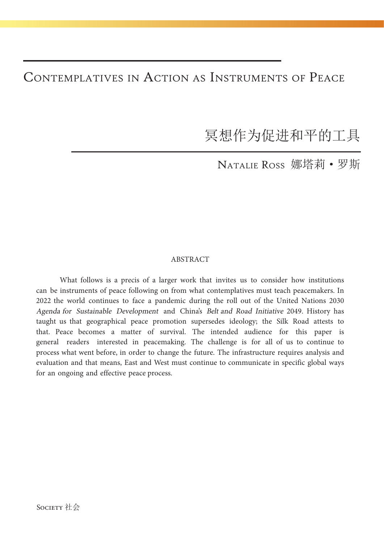## Contemplatives in Action as Instruments of Peace

冥想作为促进和平的工具

Natalie Ross 娜塔莉·罗斯

## ABSTRACT

What follows is a precis of a larger work that invites us to consider how institutions can be instruments of peace following on from what contemplatives must teach peacemakers. In 2022 the world continues to face a pandemic during the roll out of the United Nations 2030 Agenda for Sustainable Development and China's Belt and Road Initiative 2049. History has taught us that geographical peace promotion supersedes ideology; the Silk Road attests to that. Peace becomes a matter of survival. The intended audience for this paper is general readers interested in peacemaking. The challenge is for all of us to continue to process what went before, in order to change the future. The infrastructure requires analysis and evaluation and that means, East and West must continue to communicate in specific global ways for an ongoing and effective peace process.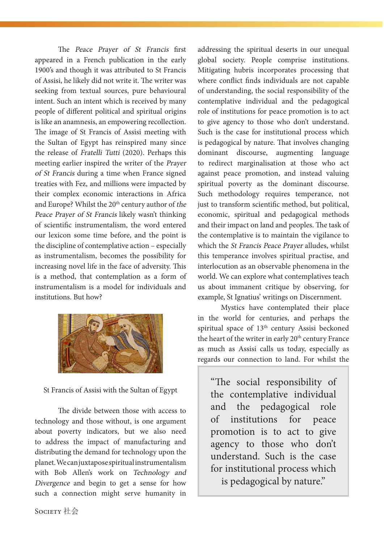The Peace Prayer of St Francis first appeared in a French publication in the early 1900's and though it was attributed to St Francis of Assisi, he likely did not write it. The writer was seeking from textual sources, pure behavioural intent. Such an intent which is received by many people of different political and spiritual origins is like an anamnesis, an empowering recollection. The image of St Francis of Assisi meeting with the Sultan of Egypt has reinspired many since the release of Fratelli Tutti (2020). Perhaps this meeting earlier inspired the writer of the Prayer of St Francis during a time when France signed treaties with Fez, and millions were impacted by their complex economic interactions in Africa and Europe? Whilst the 20<sup>th</sup> century author of the Peace Prayer of St Francis likely wasn't thinking of scientific instrumentalism, the word entered our lexicon some time before, and the point is the discipline of contemplative action – especially as instrumentalism, becomes the possibility for increasing novel life in the face of adversity. This is a method, that contemplation as a form of instrumentalism is a model for individuals and institutions. But how?



St Francis of Assisi with the Sultan of Egypt

The divide between those with access to technology and those without, is one argument about poverty indicators, but we also need to address the impact of manufacturing and distributing the demand for technology upon the planet. We can juxtapose spiritual instrumentalism with Bob Allen's work on Technology and Divergence and begin to get a sense for how such a connection might serve humanity in

addressing the spiritual deserts in our unequal global society. People comprise institutions. Mitigating hubris incorporates processing that where conflict finds individuals are not capable of understanding, the social responsibility of the contemplative individual and the pedagogical role of institutions for peace promotion is to act to give agency to those who don't understand. Such is the case for institutional process which is pedagogical by nature. That involves changing dominant discourse, augmenting language to redirect marginalisation at those who act against peace promotion, and instead valuing spiritual poverty as the dominant discourse. Such methodology requires temperance, not just to transform scientific method, but political, economic, spiritual and pedagogical methods and their impact on land and peoples. The task of the contemplative is to maintain the vigilance to which the St Francis Peace Prayer alludes, whilst this temperance involves spiritual practise, and interlocution as an observable phenomena in the world. We can explore what contemplatives teach us about immanent critique by observing, for example, St Ignatius' writings on Discernment.

Mystics have contemplated their place in the world for centuries, and perhaps the spiritual space of 13<sup>th</sup> century Assisi beckoned the heart of the writer in early 20<sup>th</sup> century France as much as Assisi calls us today, especially as regards our connection to land. For whilst the

"The social responsibility of the contemplative individual and the pedagogical role of institutions for peace promotion is to act to give agency to those who don't understand. Such is the case for institutional process which is pedagogical by nature."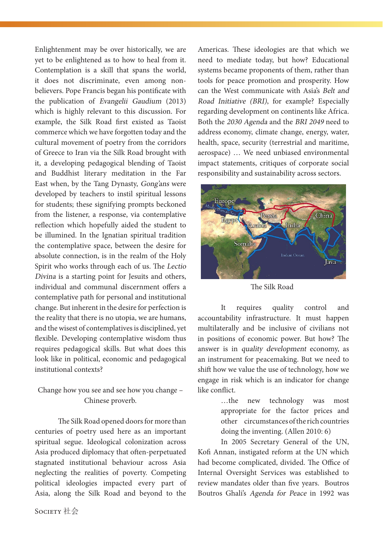Enlightenment may be over historically, we are yet to be enlightened as to how to heal from it. Contemplation is a skill that spans the world, it does not discriminate, even among nonbelievers. Pope Francis began his pontificate with the publication of Evangelii Gaudium (2013) which is highly relevant to this discussion. For example, the Silk Road first existed as Taoist commerce which we have forgotten today and the cultural movement of poetry from the corridors of Greece to Iran via the Silk Road brought with it, a developing pedagogical blending of Taoist and Buddhist literary meditation in the Far East when, by the Tang Dynasty, Gong'ans were developed by teachers to instil spiritual lessons for students; these signifying prompts beckoned from the listener, a response, via contemplative reflection which hopefully aided the student to be illumined. In the Ignatian spiritual tradition the contemplative space, between the desire for absolute connection, is in the realm of the Holy Spirit who works through each of us. The Lectio Divina is a starting point for Jesuits and others, individual and communal discernment offers a contemplative path for personal and institutional change. But inherent in the desire for perfection is the reality that there is no utopia, we are humans, and the wisest of contemplatives is disciplined, yet flexible. Developing contemplative wisdom thus requires pedagogical skills. But what does this look like in political, economic and pedagogical institutional contexts?

## Change how you see and see how you change – Chinese proverb.

The Silk Road opened doors for more than centuries of poetry used here as an important spiritual segue. Ideological colonization across Asia produced diplomacy that often-perpetuated stagnated institutional behaviour across Asia neglecting the realities of poverty. Competing political ideologies impacted every part of Asia, along the Silk Road and beyond to the

Americas. These ideologies are that which we need to mediate today, but how? Educational systems became proponents of them, rather than tools for peace promotion and prosperity. How can the West communicate with Asia's Belt and Road Initiative (BRI), for example? Especially regarding development on continents like Africa. Both the 2030 Agenda and the BRI 2049 need to address economy, climate change, energy, water, health, space, security (terrestrial and maritime, aerospace) … We need unbiased environmental impact statements, critiques of corporate social responsibility and sustainability across sectors.



The Silk Road

It requires quality control and accountability infrastructure. It must happen multilaterally and be inclusive of civilians not in positions of economic power. But how? The answer is in quality development economy, as an instrument for peacemaking. But we need to shift how we value the use of technology, how we engage in risk which is an indicator for change like conflict.

> …the new technology was most appropriate for the factor prices and other circumstances of the rich countries doing the inventing. (Allen 2010: 6)

In 2005 Secretary General of the UN, Kofi Annan, instigated reform at the UN which had become complicated, divided. The Office of Internal Oversight Services was established to review mandates older than five years. Boutros Boutros Ghali's Agenda for Peace in 1992 was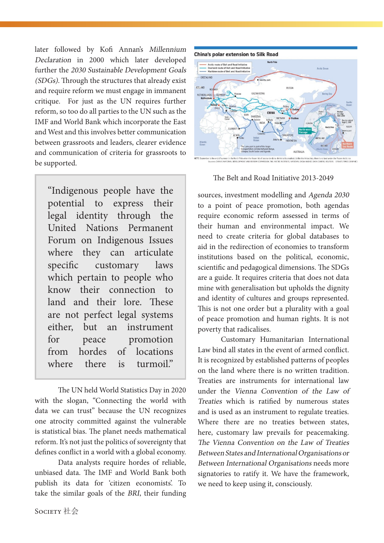later followed by Kofi Annan's Millennium Declaration in 2000 which later developed further the 2030 Sustainable Development Goals (SDGs). Through the structures that already exist and require reform we must engage in immanent critique. For just as the UN requires further reform, so too do all parties to the UN such as the IMF and World Bank which incorporate the East and West and this involves better communication between grassroots and leaders, clearer evidence and communication of criteria for grassroots to be supported.

"Indigenous people have the potential to express their legal identity through the United Nations Permanent Forum on Indigenous Issues where they can articulate specific customary laws which pertain to people who know their connection to land and their lore. These are not perfect legal systems either, but an instrument for peace promotion from hordes of locations where there is turmoil."

The UN held World Statistics Day in 2020 with the slogan, "Connecting the world with data we can trust" because the UN recognizes one atrocity committed against the vulnerable is statistical bias. The planet needs mathematical reform. It's not just the politics of sovereignty that defines conflict in a world with a global economy.

Data analysts require hordes of reliable, unbiased data. The IMF and World Bank both publish its data for 'citizen economists'. To take the similar goals of the BRI, their funding



The Belt and Road Initiative 2013-2049

sources, investment modelling and Agenda 2030 to a point of peace promotion, both agendas require economic reform assessed in terms of their human and environmental impact. We need to create criteria for global databases to aid in the redirection of economies to transform institutions based on the political, economic, scientific and pedagogical dimensions. The SDGs are a guide. It requires criteria that does not data mine with generalisation but upholds the dignity and identity of cultures and groups represented. This is not one order but a plurality with a goal of peace promotion and human rights. It is not poverty that radicalises.

Customary Humanitarian International Law bind all states in the event of armed conflict. It is recognized by established patterns of peoples on the land where there is no written tradition. Treaties are instruments for international law under the Vienna Convention of the Law of Treaties which is ratified by numerous states and is used as an instrument to regulate treaties. Where there are no treaties between states, here, customary law prevails for peacemaking. The Vienna Convention on the Law of Treaties Between States and International Organisations or Between International Organisations needs more signatories to ratify it. We have the framework, we need to keep using it, consciously.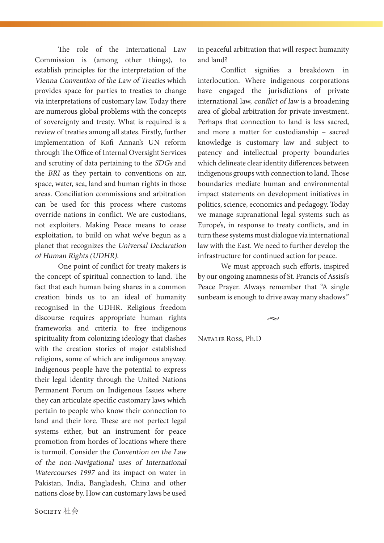The role of the International Law Commission is (among other things), to establish principles for the interpretation of the Vienna Convention of the Law of Treaties which provides space for parties to treaties to change via interpretations of customary law. Today there are numerous global problems with the concepts of sovereignty and treaty. What is required is a review of treaties among all states. Firstly, further implementation of Kofi Annan's UN reform through The Office of Internal Oversight Services and scrutiny of data pertaining to the SDGs and the BRI as they pertain to conventions on air, space, water, sea, land and human rights in those areas. Conciliation commissions and arbitration can be used for this process where customs override nations in conflict. We are custodians, not exploiters. Making Peace means to cease exploitation, to build on what we've begun as a planet that recognizes the Universal Declaration of Human Rights (UDHR).

One point of conflict for treaty makers is the concept of spiritual connection to land. The fact that each human being shares in a common creation binds us to an ideal of humanity recognised in the UDHR. Religious freedom discourse requires appropriate human rights frameworks and criteria to free indigenous spirituality from colonizing ideology that clashes with the creation stories of major established religions, some of which are indigenous anyway. Indigenous people have the potential to express their legal identity through the United Nations Permanent Forum on Indigenous Issues where they can articulate specific customary laws which pertain to people who know their connection to land and their lore. These are not perfect legal systems either, but an instrument for peace promotion from hordes of locations where there is turmoil. Consider the Convention on the Law of the non-Navigational uses of International Watercourses 1997 and its impact on water in Pakistan, India, Bangladesh, China and other nations close by. How can customary laws be used in peaceful arbitration that will respect humanity and land?

Conflict signifies a breakdown in interlocution. Where indigenous corporations have engaged the jurisdictions of private international law, conflict of law is a broadening area of global arbitration for private investment. Perhaps that connection to land is less sacred, and more a matter for custodianship – sacred knowledge is customary law and subject to patency and intellectual property boundaries which delineate clear identity differences between indigenous groups with connection to land. Those boundaries mediate human and environmental impact statements on development initiatives in politics, science, economics and pedagogy. Today we manage supranational legal systems such as Europe's, in response to treaty conflicts, and in turn these systems must dialogue via international law with the East. We need to further develop the infrastructure for continued action for peace.

We must approach such efforts, inspired by our ongoing anamnesis of St. Francis of Assisi's Peace Prayer. Always remember that "A single sunbeam is enough to drive away many shadows."

 $\sim$ 

Natalie Ross, Ph.D